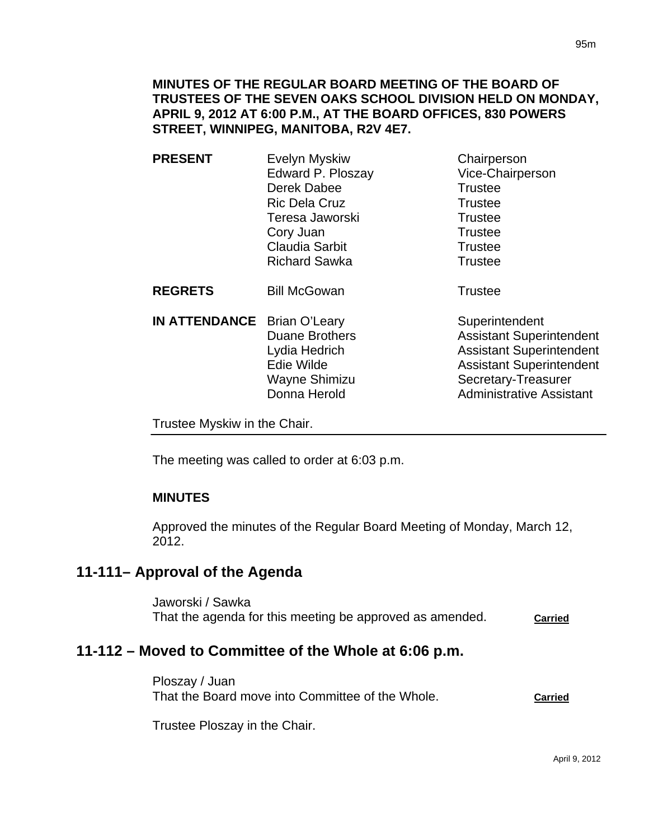**PRESENT** Evelyn Myskiw Chairperson Edward P. Ploszay Vice-Chairperson Derek Dabee Trustee Ric Dela Cruz Trustee Teresa Jaworski **Trustee** Cory Juan Trustee Claudia Sarbit **Trustee** Richard Sawka **Trustee** 

**REGRETS** Bill McGowan **Trustee** 

**IN ATTENDANCE** Brian O'Leary Superintendent Duane Brothers **Assistant Superintendent** Lydia Hedrich **Assistant Superintendent** Edie Wilde **Assistant Superintendent** Wayne Shimizu Secretary-Treasurer Donna Herold **Administrative Assistant** 

Trustee Myskiw in the Chair.

The meeting was called to order at 6:03 p.m.

## **MINUTES**

Approved the minutes of the Regular Board Meeting of Monday, March 12, 2012.

# **11-111– Approval of the Agenda**

Jaworski / Sawka That the agenda for this meeting be approved as amended. **Carried**

# **11-112 – Moved to Committee of the Whole at 6:06 p.m.**

Ploszay / Juan That the Board move into Committee of the Whole. **Carried**

Trustee Ploszay in the Chair.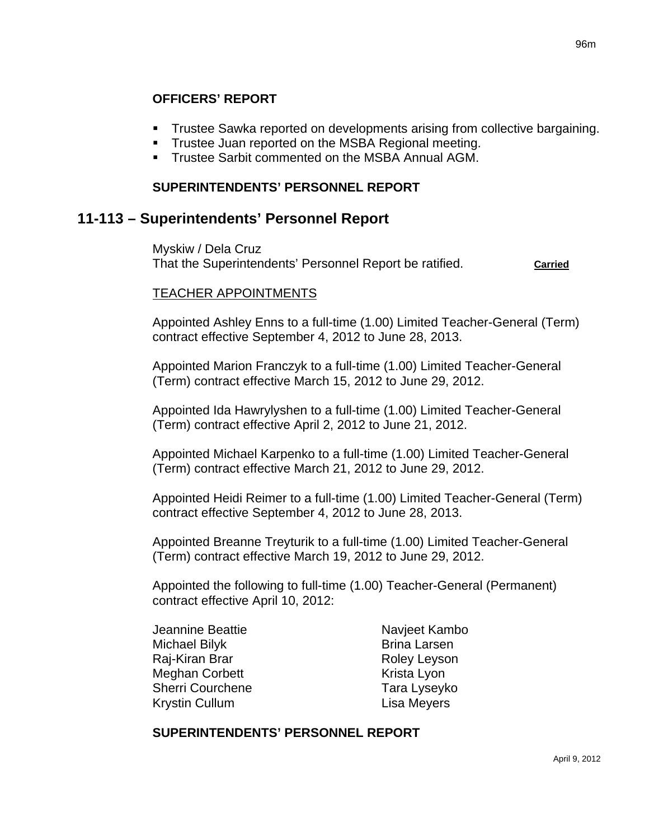## **OFFICERS' REPORT**

- Trustee Sawka reported on developments arising from collective bargaining.
- **Trustee Juan reported on the MSBA Regional meeting.**
- **Trustee Sarbit commented on the MSBA Annual AGM.**

#### **SUPERINTENDENTS' PERSONNEL REPORT**

## **11-113 – Superintendents' Personnel Report**

Myskiw / Dela Cruz That the Superintendents' Personnel Report be ratified. **Carried**

#### TEACHER APPOINTMENTS

Appointed Ashley Enns to a full-time (1.00) Limited Teacher-General (Term) contract effective September 4, 2012 to June 28, 2013.

Appointed Marion Franczyk to a full-time (1.00) Limited Teacher-General (Term) contract effective March 15, 2012 to June 29, 2012.

Appointed Ida Hawrylyshen to a full-time (1.00) Limited Teacher-General (Term) contract effective April 2, 2012 to June 21, 2012.

Appointed Michael Karpenko to a full-time (1.00) Limited Teacher-General (Term) contract effective March 21, 2012 to June 29, 2012.

Appointed Heidi Reimer to a full-time (1.00) Limited Teacher-General (Term) contract effective September 4, 2012 to June 28, 2013.

Appointed Breanne Treyturik to a full-time (1.00) Limited Teacher-General (Term) contract effective March 19, 2012 to June 29, 2012.

Appointed the following to full-time (1.00) Teacher-General (Permanent) contract effective April 10, 2012:

Jeannine Beattie Navjeet Kambo Michael Bilyk Brina Larsen Raj-Kiran Brar **Roley Leyson** Meghan Corbett **Krista** Lyon Sherri Courchene Tara Lyseyko Krystin Cullum Lisa Meyers

#### **SUPERINTENDENTS' PERSONNEL REPORT**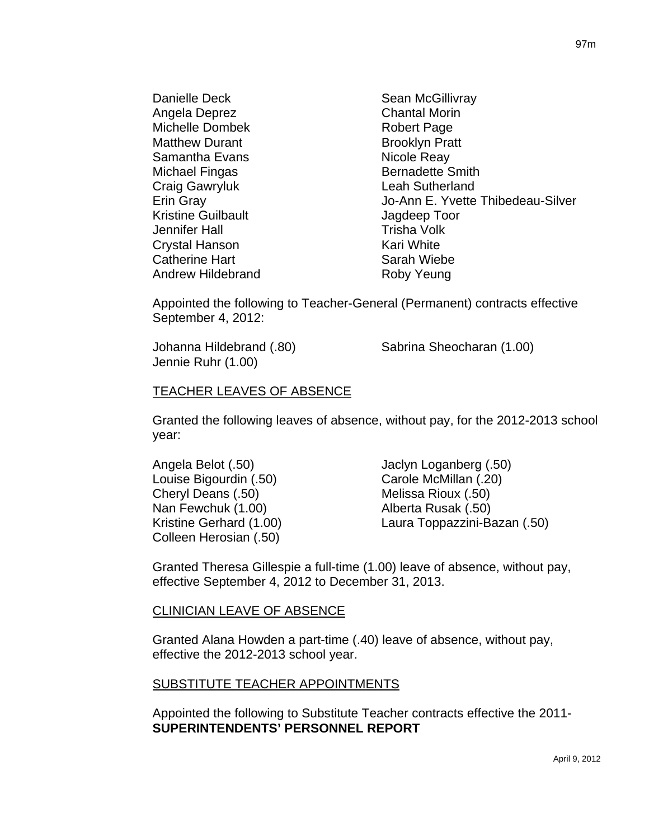Danielle Deck Sean McGillivray Angela Deprez Chantal Morin Michelle Dombek Robert Page Matthew Durant **Brooklyn** Pratt Samantha Evans Nicole Reay Michael Fingas **Bernadette Smith** Craig Gawryluk Leah Sutherland Erin Gray Jo-Ann E. Yvette Thibedeau-Silver Kristine Guilbault **Guilbault** Jagdeep Toor Jennifer Hall **Trisha Volk** Crystal Hanson Kari White Catherine Hart **Sarah Wiebe** Andrew Hildebrand Roby Yeung

Appointed the following to Teacher-General (Permanent) contracts effective September 4, 2012:

Jennie Ruhr (1.00)

Johanna Hildebrand (.80) Sabrina Sheocharan (1.00)

#### TEACHER LEAVES OF ABSENCE

Granted the following leaves of absence, without pay, for the 2012-2013 school year:

Louise Bigourdin (.50) Carole McMillan (.20) Cheryl Deans (.50) Melissa Rioux (.50) Nan Fewchuk (1.00) Alberta Rusak (.50) Colleen Herosian (.50)

Angela Belot (.50) Jaclyn Loganberg (.50) Kristine Gerhard (1.00) Laura Toppazzini-Bazan (.50)

Granted Theresa Gillespie a full-time (1.00) leave of absence, without pay, effective September 4, 2012 to December 31, 2013.

#### CLINICIAN LEAVE OF ABSENCE

Granted Alana Howden a part-time (.40) leave of absence, without pay, effective the 2012-2013 school year.

#### SUBSTITUTE TEACHER APPOINTMENTS

Appointed the following to Substitute Teacher contracts effective the 2011- **SUPERINTENDENTS' PERSONNEL REPORT**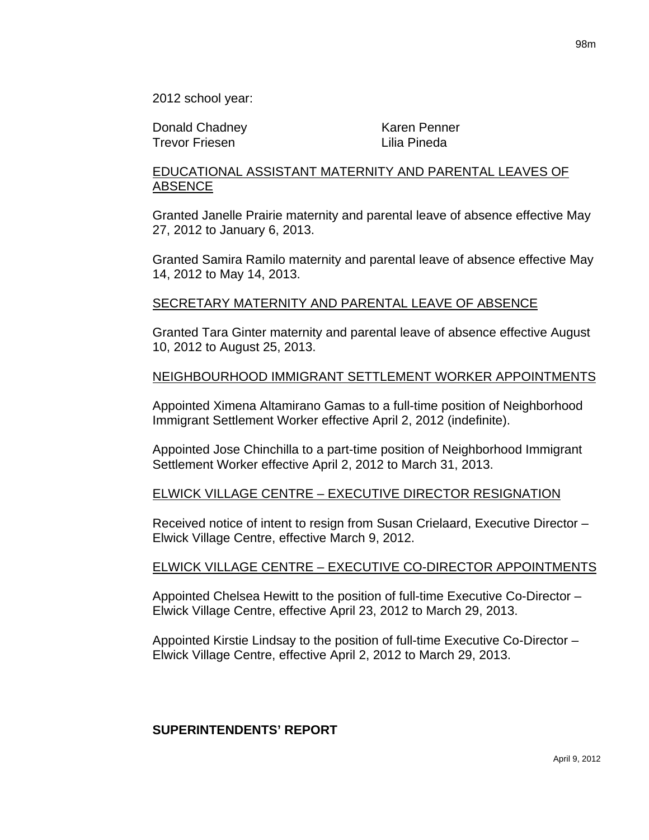2012 school year:

Donald Chadney **Karen Penner** Trevor Friesen Lilia Pineda

## EDUCATIONAL ASSISTANT MATERNITY AND PARENTAL LEAVES OF ABSENCE

Granted Janelle Prairie maternity and parental leave of absence effective May 27, 2012 to January 6, 2013.

Granted Samira Ramilo maternity and parental leave of absence effective May 14, 2012 to May 14, 2013.

#### SECRETARY MATERNITY AND PARENTAL LEAVE OF ABSENCE

Granted Tara Ginter maternity and parental leave of absence effective August 10, 2012 to August 25, 2013.

#### NEIGHBOURHOOD IMMIGRANT SETTLEMENT WORKER APPOINTMENTS

Appointed Ximena Altamirano Gamas to a full-time position of Neighborhood Immigrant Settlement Worker effective April 2, 2012 (indefinite).

Appointed Jose Chinchilla to a part-time position of Neighborhood Immigrant Settlement Worker effective April 2, 2012 to March 31, 2013.

#### ELWICK VILLAGE CENTRE – EXECUTIVE DIRECTOR RESIGNATION

Received notice of intent to resign from Susan Crielaard, Executive Director – Elwick Village Centre, effective March 9, 2012.

#### ELWICK VILLAGE CENTRE – EXECUTIVE CO-DIRECTOR APPOINTMENTS

Appointed Chelsea Hewitt to the position of full-time Executive Co-Director – Elwick Village Centre, effective April 23, 2012 to March 29, 2013.

Appointed Kirstie Lindsay to the position of full-time Executive Co-Director – Elwick Village Centre, effective April 2, 2012 to March 29, 2013.

#### **SUPERINTENDENTS' REPORT**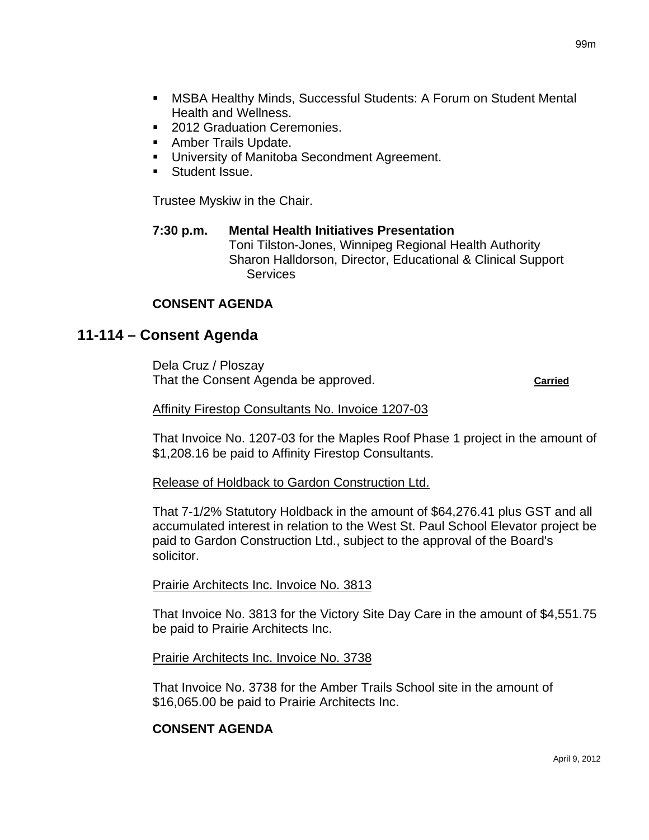- MSBA Healthy Minds, Successful Students: A Forum on Student Mental Health and Wellness.
- 2012 Graduation Ceremonies.
- **Amber Trails Update.**
- **University of Manitoba Secondment Agreement.**
- **Student Issue.**

Trustee Myskiw in the Chair.

## **7:30 p.m. Mental Health Initiatives Presentation** Toni Tilston-Jones, Winnipeg Regional Health Authority Sharon Halldorson, Director, Educational & Clinical Support **Services**

## **CONSENT AGENDA**

# **11-114 – Consent Agenda**

Dela Cruz / Ploszay That the Consent Agenda be approved. **Carried**

#### Affinity Firestop Consultants No. Invoice 1207-03

That Invoice No. 1207-03 for the Maples Roof Phase 1 project in the amount of \$1,208.16 be paid to Affinity Firestop Consultants.

#### Release of Holdback to Gardon Construction Ltd.

That 7-1/2% Statutory Holdback in the amount of \$64,276.41 plus GST and all accumulated interest in relation to the West St. Paul School Elevator project be paid to Gardon Construction Ltd., subject to the approval of the Board's solicitor.

#### Prairie Architects Inc. Invoice No. 3813

That Invoice No. 3813 for the Victory Site Day Care in the amount of \$4,551.75 be paid to Prairie Architects Inc.

#### Prairie Architects Inc. Invoice No. 3738

That Invoice No. 3738 for the Amber Trails School site in the amount of \$16,065.00 be paid to Prairie Architects Inc.

## **CONSENT AGENDA**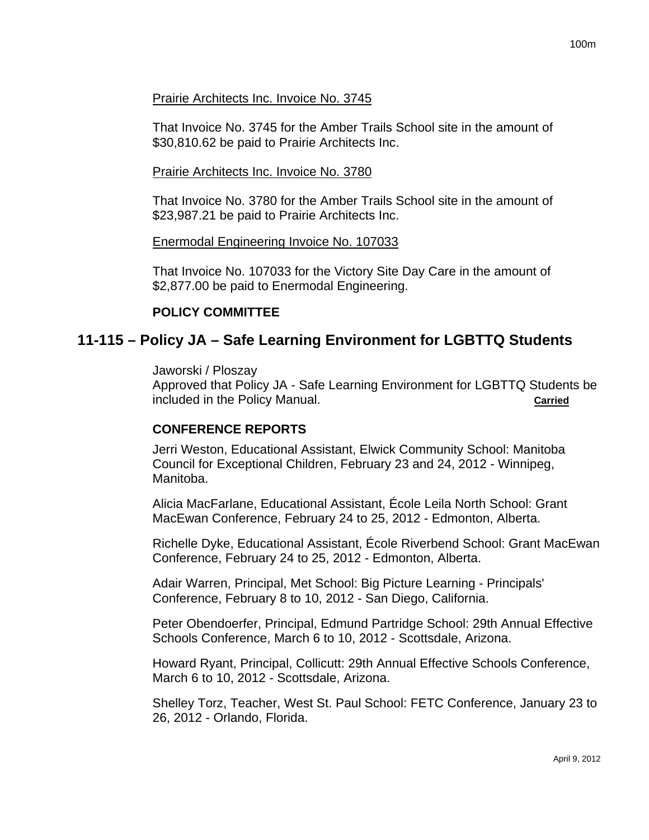#### Prairie Architects Inc. Invoice No. 3745

That Invoice No. 3745 for the Amber Trails School site in the amount of \$30,810.62 be paid to Prairie Architects Inc.

#### Prairie Architects Inc. Invoice No. 3780

That Invoice No. 3780 for the Amber Trails School site in the amount of \$23,987.21 be paid to Prairie Architects Inc.

#### Enermodal Engineering Invoice No. 107033

That Invoice No. 107033 for the Victory Site Day Care in the amount of \$2,877.00 be paid to Enermodal Engineering.

#### **POLICY COMMITTEE**

## **11-115 – Policy JA – Safe Learning Environment for LGBTTQ Students**

Jaworski / Ploszay

Approved that Policy JA - Safe Learning Environment for LGBTTQ Students be included in the Policy Manual. **Carried**

#### **CONFERENCE REPORTS**

Jerri Weston, Educational Assistant, Elwick Community School: Manitoba Council for Exceptional Children, February 23 and 24, 2012 - Winnipeg, Manitoba.

Alicia MacFarlane, Educational Assistant, École Leila North School: Grant MacEwan Conference, February 24 to 25, 2012 - Edmonton, Alberta.

Richelle Dyke, Educational Assistant, École Riverbend School: Grant MacEwan Conference, February 24 to 25, 2012 - Edmonton, Alberta.

Adair Warren, Principal, Met School: Big Picture Learning - Principals' Conference, February 8 to 10, 2012 - San Diego, California.

Peter Obendoerfer, Principal, Edmund Partridge School: 29th Annual Effective Schools Conference, March 6 to 10, 2012 - Scottsdale, Arizona.

Howard Ryant, Principal, Collicutt: 29th Annual Effective Schools Conference, March 6 to 10, 2012 - Scottsdale, Arizona.

Shelley Torz, Teacher, West St. Paul School: FETC Conference, January 23 to 26, 2012 - Orlando, Florida.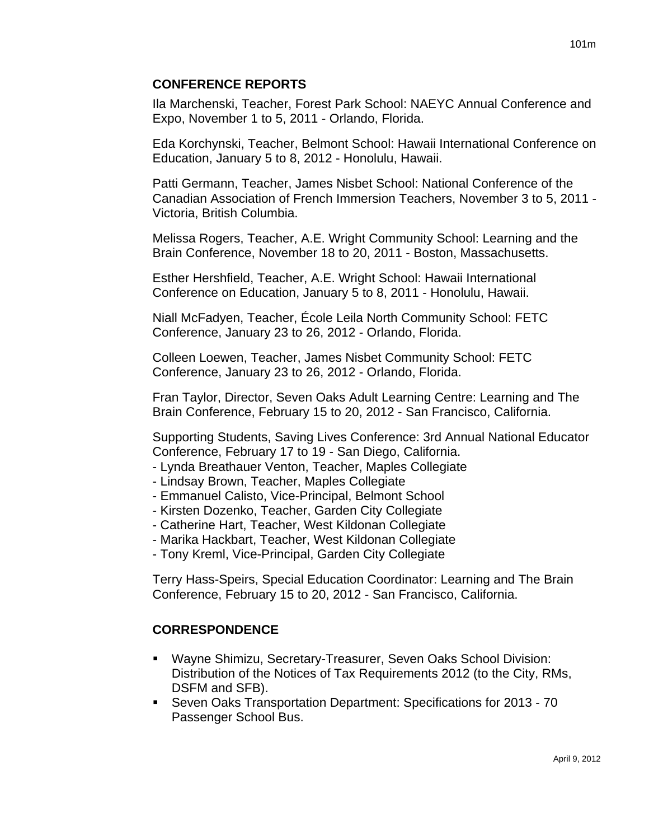## **CONFERENCE REPORTS**

Ila Marchenski, Teacher, Forest Park School: NAEYC Annual Conference and Expo, November 1 to 5, 2011 - Orlando, Florida.

Eda Korchynski, Teacher, Belmont School: Hawaii International Conference on Education, January 5 to 8, 2012 - Honolulu, Hawaii.

Patti Germann, Teacher, James Nisbet School: National Conference of the Canadian Association of French Immersion Teachers, November 3 to 5, 2011 - Victoria, British Columbia.

Melissa Rogers, Teacher, A.E. Wright Community School: Learning and the Brain Conference, November 18 to 20, 2011 - Boston, Massachusetts.

Esther Hershfield, Teacher, A.E. Wright School: Hawaii International Conference on Education, January 5 to 8, 2011 - Honolulu, Hawaii.

Niall McFadyen, Teacher, École Leila North Community School: FETC Conference, January 23 to 26, 2012 - Orlando, Florida.

Colleen Loewen, Teacher, James Nisbet Community School: FETC Conference, January 23 to 26, 2012 - Orlando, Florida.

Fran Taylor, Director, Seven Oaks Adult Learning Centre: Learning and The Brain Conference, February 15 to 20, 2012 - San Francisco, California.

Supporting Students, Saving Lives Conference: 3rd Annual National Educator Conference, February 17 to 19 - San Diego, California.

- Lynda Breathauer Venton, Teacher, Maples Collegiate
- Lindsay Brown, Teacher, Maples Collegiate
- Emmanuel Calisto, Vice-Principal, Belmont School
- Kirsten Dozenko, Teacher, Garden City Collegiate
- Catherine Hart, Teacher, West Kildonan Collegiate
- Marika Hackbart, Teacher, West Kildonan Collegiate
- Tony Kreml, Vice-Principal, Garden City Collegiate

Terry Hass-Speirs, Special Education Coordinator: Learning and The Brain Conference, February 15 to 20, 2012 - San Francisco, California.

## **CORRESPONDENCE**

- Wayne Shimizu, Secretary-Treasurer, Seven Oaks School Division: Distribution of the Notices of Tax Requirements 2012 (to the City, RMs, DSFM and SFB).
- Seven Oaks Transportation Department: Specifications for 2013 70 Passenger School Bus.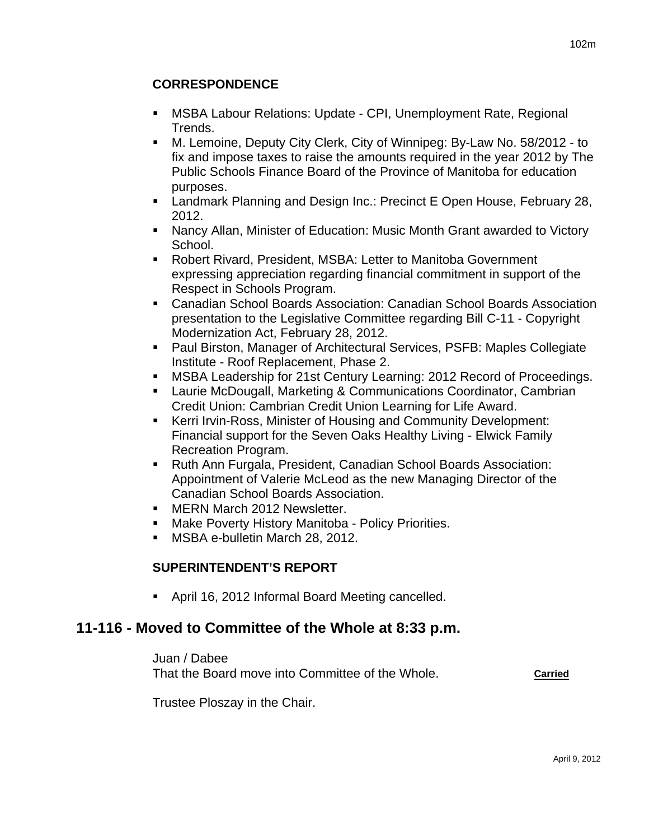## **CORRESPONDENCE**

- MSBA Labour Relations: Update CPI, Unemployment Rate, Regional Trends.
- M. Lemoine, Deputy City Clerk, City of Winnipeg: By-Law No. 58/2012 to fix and impose taxes to raise the amounts required in the year 2012 by The Public Schools Finance Board of the Province of Manitoba for education purposes.
- **EXECT** Landmark Planning and Design Inc.: Precinct E Open House, February 28, 2012.
- Nancy Allan, Minister of Education: Music Month Grant awarded to Victory School.
- Robert Rivard, President, MSBA: Letter to Manitoba Government expressing appreciation regarding financial commitment in support of the Respect in Schools Program.
- Canadian School Boards Association: Canadian School Boards Association presentation to the Legislative Committee regarding Bill C-11 - Copyright Modernization Act, February 28, 2012.
- Paul Birston, Manager of Architectural Services, PSFB: Maples Collegiate Institute - Roof Replacement, Phase 2.
- MSBA Leadership for 21st Century Learning: 2012 Record of Proceedings.
- Laurie McDougall, Marketing & Communications Coordinator, Cambrian Credit Union: Cambrian Credit Union Learning for Life Award.
- Kerri Irvin-Ross, Minister of Housing and Community Development: Financial support for the Seven Oaks Healthy Living - Elwick Family Recreation Program.
- Ruth Ann Furgala, President, Canadian School Boards Association: Appointment of Valerie McLeod as the new Managing Director of the Canadian School Boards Association.
- **MERN March 2012 Newsletter.**
- **Make Poverty History Manitoba Policy Priorities.**
- **MSBA e-bulletin March 28, 2012.**

## **SUPERINTENDENT'S REPORT**

April 16, 2012 Informal Board Meeting cancelled.

# **11-116 - Moved to Committee of the Whole at 8:33 p.m.**

Juan / Dabee

That the Board move into Committee of the Whole. **Carried**

Trustee Ploszay in the Chair.